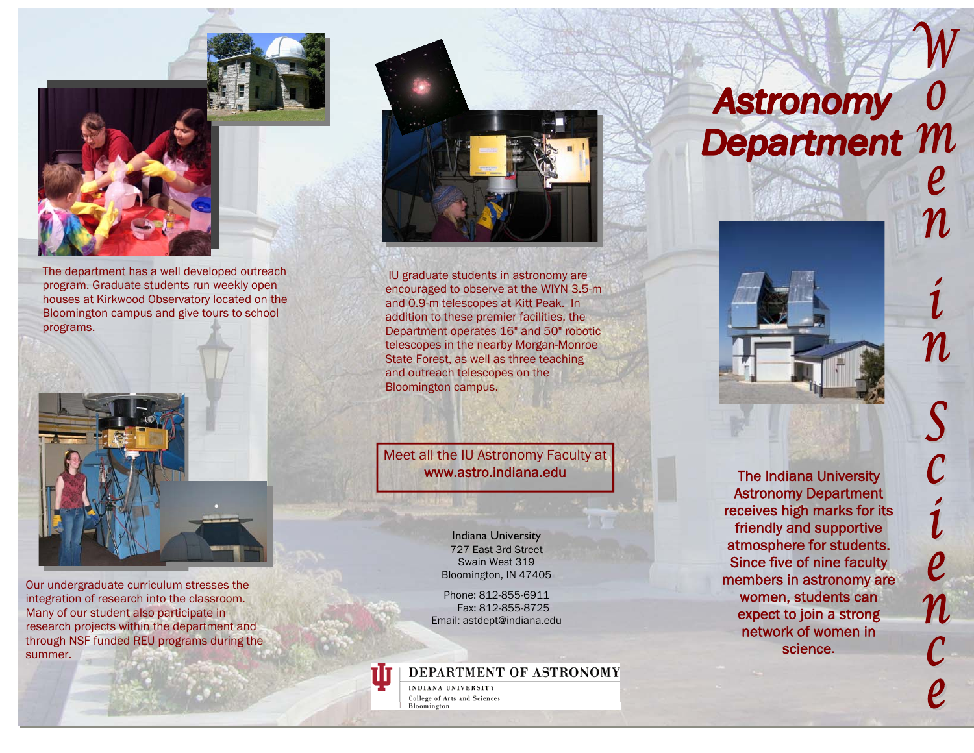



The department has a well developed outreach program. Graduate students run weekly open houses at Kirkwood Observatory located on the Bloomington campus and give tours to school programs.



Our undergraduate curriculum stresses the integration of research into the classroom. Many of our student also participate in research projects within the department and through NSF funded REU programs during the summer.



IU graduate students in astronomy are encouraged to observe at the WIYN 3.5-m and 0.9-m telescopes at Kitt Peak. In addition to these premier facilities, the Department operates 16" and 50" robotic telescopes in the nearby Morgan-Monroe State Forest, as well as three teaching and outreach telescopes on the Bloomington campus.

Meet all the IU Astronomy Faculty at www.astro.indiana.edu

> Indiana University 727 East 3rd Street Swain West 319 Bloomington, IN 47405

Phone: 812-855-6911 Fax: 812-855-8725 Email: astdept@indiana.edu

DEPARTMENT OF ASTRONOMY

INDIANA UNIVERSITY College of Arts and Sciences Bloomington

## Astronomy 0<br>Department M



The Indiana University Astronomy Department receives high marks for its friendly and supportive atmosphere for students. Since five of nine faculty members in astronomy are women, students can expect to join a strong network of women in science.